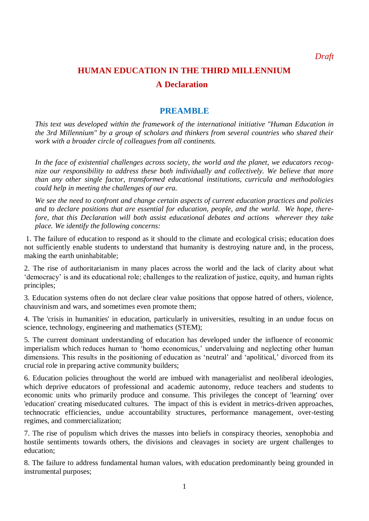*Draft* 

# **HUMAN EDUCATION IN THE THIRD MILLENNIUM A Declaration**

# **PREAMBLE**

*This text was developed within the framework of the international initiative "Human Education in the 3rd Millennium" by a group of scholars and thinkers from several countries who shared their work with a broader circle of colleagues from all continents.* 

*In the face of existential challenges across society, the world and the planet, we educators recognize our responsibility to address these both individually and collectively. We believe that more than any other single factor, transformed educational institutions, curricula and methodologies could help in meeting the challenges of our era.* 

*We see the need to confront and change certain aspects of current education practices and policies and to declare positions that are essential for education, people, and the world. We hope, therefore, that this Declaration will both assist educational debates and actions wherever they take place. We identify the following concerns:*

1. The failure of education to respond as it should to the climate and ecological crisis; education does not sufficiently enable students to understand that humanity is destroying nature and, in the process, making the earth uninhabitable;

2. The rise of authoritarianism in many places across the world and the lack of clarity about what "democracy" is and its educational role; challenges to the realization of justice, equity, and human rights principles;

3. Education systems often do not declare clear value positions that oppose hatred of others, violence, chauvinism and wars, and sometimes even promote them;

4. The 'crisis in humanities' in education, particularly in universities, resulting in an undue focus on science, technology, engineering and mathematics (STEM);

5. The current dominant understanding of education has developed under the influence of economic imperialism which reduces human to 'homo economicus,' undervaluing and neglecting other human dimensions. This results in the positioning of education as 'neutral' and 'apolitical,' divorced from its crucial role in preparing active community builders;

6. Education policies throughout the world are imbued with managerialist and neoliberal ideologies, which deprive educators of professional and academic autonomy, reduce teachers and students to economic units who primarily produce and consume. This privileges the concept of 'learning' over 'education' creating miseducated cultures. The impact of this is evident in metrics-driven approaches, technocratic efficiencies, undue accountability structures, performance management, over-testing regimes, and commercialization;

7. The rise of populism which drives the masses into beliefs in conspiracy theories, xenophobia and hostile sentiments towards others, the divisions and cleavages in society are urgent challenges to education;

8. The failure to address fundamental human values, with education predominantly being grounded in instrumental purposes;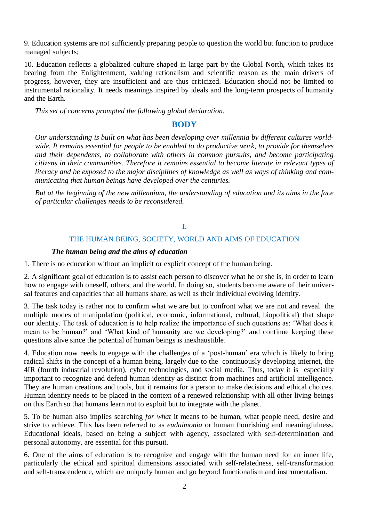9. Education systems are not sufficiently preparing people to question the world but function to produce managed subjects;

10. Education reflects a globalized culture shaped in large part by the Global North, which takes its bearing from the Enlightenment, valuing rationalism and scientific reason as the main drivers of progress, however, they are insufficient and are thus criticized. Education should not be limited to instrumental rationality. It needs meanings inspired by ideals and the long-term prospects of humanity and the Earth.

*This set of concerns prompted the following global declaration.*

#### **BODY**

*Our understanding is built on what has been developing over millennia by different cultures worldwide. It remains essential for people to be enabled to do productive work, to provide for themselves and their dependents, to collaborate with others in common pursuits, and become participating citizens in their communities. Therefore it remains essential to become literate in relevant types of literacy and be exposed to the major disciplines of knowledge as well as ways of thinking and communicating that human beings have developed over the centuries.*

*But at the beginning of the new millennium, the understanding of education and its aims in the face of particular challenges needs to be reconsidered.*

#### **I.**

#### THE HUMAN BEING, SOCIETY, WORLD AND AIMS OF EDUCATION

#### *The human being and the aims of education*

1. There is no education without an implicit or explicit concept of the human being.

2. A significant goal of education is to assist each person to discover what he or she is, in order to learn how to engage with oneself, others, and the world. In doing so, students become aware of their universal features and capacities that all humans share, as well as their individual evolving identity.

3. The task today is rather not to confirm what we are but to confront what we are not and reveal the multiple modes of manipulation (political, economic, informational, cultural, biopolitical) that shape our identity. The task of education is to help realize the importance of such questions as: "What does it mean to be human?" and "What kind of humanity are we developing?" and continue keeping these questions alive since the potential of human beings is inexhaustible.

4. Education now needs to engage with the challenges of a "post-human" era which is likely to bring radical shifts in the concept of a human being, largely due to the continuously developing internet, the 4IR (fourth industrial revolution), cyber technologies, and social media. Thus, today it is especially important to recognize and defend human identity as distinct from machines and artificial intelligence. They are human creations and tools, but it remains for a person to make decisions and ethical choices. Human identity needs to be placed in the context of a renewed relationship with all other living beings on this Earth so that humans learn not to exploit but to integrate with the planet.

5. To be human also implies searching *for what* it means to be human, what people need, desire and strive to achieve. This has been referred to as *eudaimonia* or human flourishing and meaningfulness. Educational ideals, based on being a subject with agency, associated with self-determination and personal autonomy, are essential for this pursuit.

6. One of the aims of education is to recognize and engage with the human need for an inner life, particularly the ethical and spiritual dimensions associated with self-relatedness, self-transformation and self-transcendence, which are uniquely human and go beyond functionalism and instrumentalism.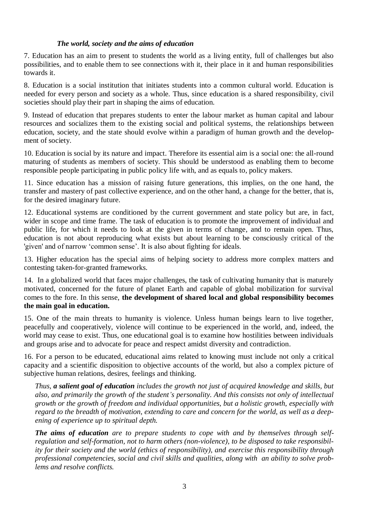## *The world, society and the aims of education*

7. Education has an aim to present to students the world as a living entity, full of challenges but also possibilities, and to enable them to see connections with it, their place in it and human responsibilities towards it.

8. Education is a social institution that initiates students into a common cultural world. Education is needed for every person and society as a whole. Thus, since education is a shared responsibility, civil societies should play their part in shaping the aims of education.

9. Instead of education that prepares students to enter the labour market as human capital and labour resources and socializes them to the existing social and political systems, the relationships between education, society, and the state should evolve within a paradigm of human growth and the development of society.

10. Education is social by its nature and impact. Therefore its essential aim is a social one: the all-round maturing of students as members of society. This should be understood as enabling them to become responsible people participating in public policy life with, and as equals to, policy makers.

11. Since education has a mission of raising future generations, this implies, on the one hand, the transfer and mastery of past collective experience, and on the other hand, a change for the better, that is, for the desired imaginary future.

12. Educational systems are conditioned by the current government and state policy but are, in fact, wider in scope and time frame. The task of education is to promote the improvement of individual and public life, for which it needs to look at the given in terms of change, and to remain open. Thus, education is not about reproducing what exists but about learning to be consciously critical of the 'given' and of narrow 'common sense'. It is also about fighting for ideals.

13. Higher education has the special aims of helping society to address more complex matters and contesting taken-for-granted frameworks.

14. In a globalized world that faces major challenges, the task of cultivating humanity that is maturely motivated, concerned for the future of planet Earth and capable of global mobilization for survival comes to the fore. In this sense, **the development of shared local and global responsibility becomes the main goal in education.**

15. One of the main threats to humanity is violence. Unless human beings learn to live together, peacefully and cooperatively, violence will continue to be experienced in the world, and, indeed, the world may cease to exist. Thus, one educational goal is to examine how hostilities between individuals and groups arise and to advocate for peace and respect amidst diversity and contradiction.

16. For a person to be educated, educational aims related to knowing must include not only a critical capacity and a scientific disposition to objective accounts of the world, but also a complex picture of subjective human relations, desires, feelings and thinking.

*Thus, a salient goal of education includes the growth not just of acquired knowledge and skills, but also, and primarily the growth of the student's personality. And this consists not only of intellectual growth or the growth of freedom and individual opportunities, but a holistic growth, especially with regard to the breadth of motivation, extending to care and concern for the world, as well as a deepening of experience up to spiritual depth.*

*The aims of education are to prepare students to cope with and by themselves through selfregulation and self-formation, not to harm others (non-violence), to be disposed to take responsibility for their society and the world (ethics of responsibility), and exercise this responsibility through professional competencies, social and civil skills and qualities, along with an ability to solve problems and resolve conflicts.*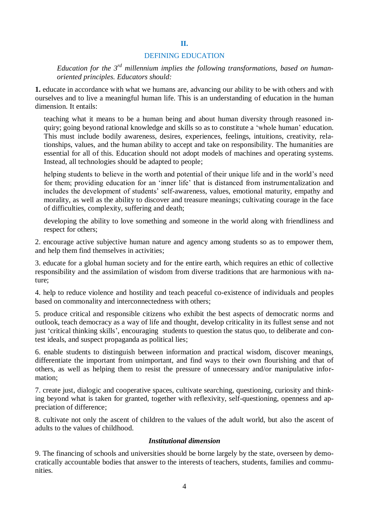#### DEFINING EDUCATION

**II.**

*Education for the 3rd millennium implies the following transformations, based on humanoriented principles. Educators should:*

**1.** educate in accordance with what we humans are, advancing our ability to be with others and with ourselves and to live a meaningful human life. This is an understanding of education in the human dimension. It entails:

teaching what it means to be a human being and about human diversity through reasoned inquiry; going beyond rational knowledge and skills so as to constitute a "whole human" education. This must include bodily awareness, desires, experiences, feelings, intuitions, creativity, relationships, values, and the human ability to accept and take on responsibility. The humanities are essential for all of this. Education should not adopt models of machines and operating systems. Instead, all technologies should be adapted to people;

helping students to believe in the worth and potential of their unique life and in the world's need for them; providing education for an 'inner life' that is distanced from instrumentalization and includes the development of students' self-awareness, values, emotional maturity, empathy and morality, as well as the ability to discover and treasure meanings; cultivating courage in the face of difficulties, complexity, suffering and death;

developing the ability to love something and someone in the world along with friendliness and respect for others;

2. encourage active subjective human nature and agency among students so as to empower them, and help them find themselves in activities;

3. educate for a global human society and for the entire earth, which requires an ethic of collective responsibility and the assimilation of wisdom from diverse traditions that are harmonious with nature;

4. help to reduce violence and hostility and teach peaceful co-existence of individuals and peoples based on commonality and interconnectedness with others;

5. produce critical and responsible citizens who exhibit the best aspects of democratic norms and outlook, teach democracy as a way of life and thought, develop criticality in its fullest sense and not just "critical thinking skills", encouraging students to question the status quo, to deliberate and contest ideals, and suspect propaganda as political lies;

6. enable students to distinguish between information and practical wisdom, discover meanings, differentiate the important from unimportant, and find ways to their own flourishing and that of others, as well as helping them to resist the pressure of unnecessary and/or manipulative information;

7. create just, dialogic and cooperative spaces, cultivate searching, questioning, curiosity and thinking beyond what is taken for granted, together with reflexivity, self-questioning, openness and appreciation of difference;

8. cultivate not only the ascent of children to the values of the adult world, but also the ascent of adults to the values of childhood.

#### *Institutional dimension*

9. The financing of schools and universities should be borne largely by the state, overseen by democratically accountable bodies that answer to the interests of teachers, students, families and communities.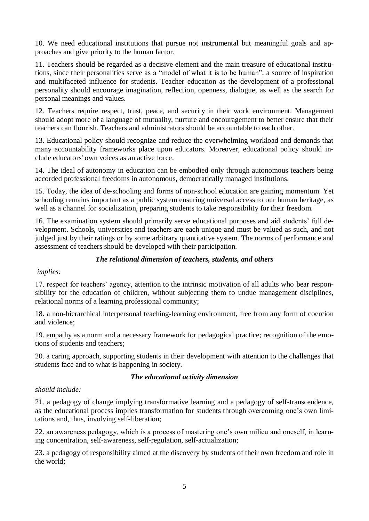10. We need educational institutions that pursue not instrumental but meaningful goals and approaches and give priority to the human factor.

11. Teachers should be regarded as a decisive element and the main treasure of educational institutions, since their personalities serve as a "model of what it is to be human", a source of inspiration and multifaceted influence for students. Teacher education as the development of a professional personality should encourage imagination, reflection, openness, dialogue, as well as the search for personal meanings and values.

12. Teachers require respect, trust, peace, and security in their work environment. Management should adopt more of a language of mutuality, nurture and encouragement to better ensure that their teachers can flourish. Teachers and administrators should be accountable to each other.

13. Educational policy should recognize and reduce the overwhelming workload and demands that many accountability frameworks place upon educators. Moreover, educational policy should include educators' own voices as an active force.

14. The ideal of autonomy in education can be embodied only through autonomous teachers being accorded professional freedoms in autonomous, democratically managed institutions.

15. Today, the idea of de-schooling and forms of non-school education are gaining momentum. Yet schooling remains important as a public system ensuring universal access to our human heritage, as well as a channel for socialization, preparing students to take responsibility for their freedom.

16. The examination system should primarily serve educational purposes and aid students" full development. Schools, universities and teachers are each unique and must be valued as such, and not judged just by their ratings or by some arbitrary quantitative system. The norms of performance and assessment of teachers should be developed with their participation.

## *The relational dimension of teachers, students, and others*

## *implies:*

17. respect for teachers" agency, attention to the intrinsic motivation of all adults who bear responsibility for the education of children, without subjecting them to undue management disciplines, relational norms of a learning professional community;

18. a non-hierarchical interpersonal teaching-learning environment, free from any form of coercion and violence;

19. empathy as a norm and a necessary framework for pedagogical practice; recognition of the emotions of students and teachers;

20. a caring approach, supporting students in their development with attention to the challenges that students face and to what is happening in society.

## *The educational activity dimension*

## *should include:*

21. a pedagogy of change implying transformative learning and a pedagogy of self-transcendence, as the educational process implies transformation for students through overcoming one"s own limitations and, thus, involving self-liberation;

22. an awareness pedagogy, which is a process of mastering one's own milieu and oneself, in learning concentration, self-awareness, self-regulation, self-actualization;

23. a pedagogy of responsibility aimed at the discovery by students of their own freedom and role in the world;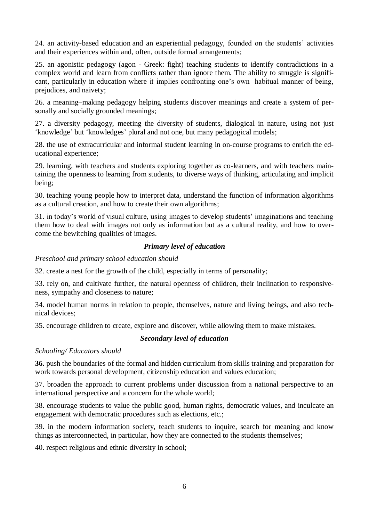24. an activity-based education and an experiential pedagogy, founded on the students' activities and their experiences within and, often, outside formal arrangements;

25. an agonistic pedagogy (agon - Greek: fight) teaching students to identify contradictions in a complex world and learn from conflicts rather than ignore them. The ability to struggle is significant, particularly in education where it implies confronting one's own habitual manner of being, prejudices, and naivety;

26. a meaning–making pedagogy helping students discover meanings and create a system of personally and socially grounded meanings;

27. a diversity pedagogy, meeting the diversity of students, dialogical in nature, using not just "knowledge" but "knowledges" plural and not one, but many pedagogical models;

28. the use of extracurricular and informal student learning in on-course programs to enrich the educational experience;

29. learning, with teachers and students exploring together as co-learners, and with teachers maintaining the openness to learning from students, to diverse ways of thinking, articulating and implicit being;

30. teaching young people how to interpret data, understand the function of information algorithms as a cultural creation, and how to create their own algorithms;

31. in today"s world of visual culture, using images to develop students" imaginations and teaching them how to deal with images not only as information but as a cultural reality, and how to overcome the bewitching qualities of images.

## *Primary level of education*

*Preschool and primary school education should* 

32. create a nest for the growth of the child, especially in terms of personality;

33. rely on, and cultivate further, the natural openness of children, their inclination to responsiveness, sympathy and closeness to nature;

34. model human norms in relation to people, themselves, nature and living beings, and also technical devices;

35. encourage children to create, explore and discover, while allowing them to make mistakes.

#### *Secondary level of education*

#### *Schooling/ Educators should*

**36.** push the boundaries of the formal and hidden curriculum from skills training and preparation for work towards personal development, citizenship education and values education;

37. broaden the approach to current problems under discussion from a national perspective to an international perspective and a concern for the whole world;

38. encourage students to value the public good, human rights, democratic values, and inculcate an engagement with democratic procedures such as elections, etc.;

39. in the modern information society, teach students to inquire, search for meaning and know things as interconnected, in particular, how they are connected to the students themselves;

40. respect religious and ethnic diversity in school;